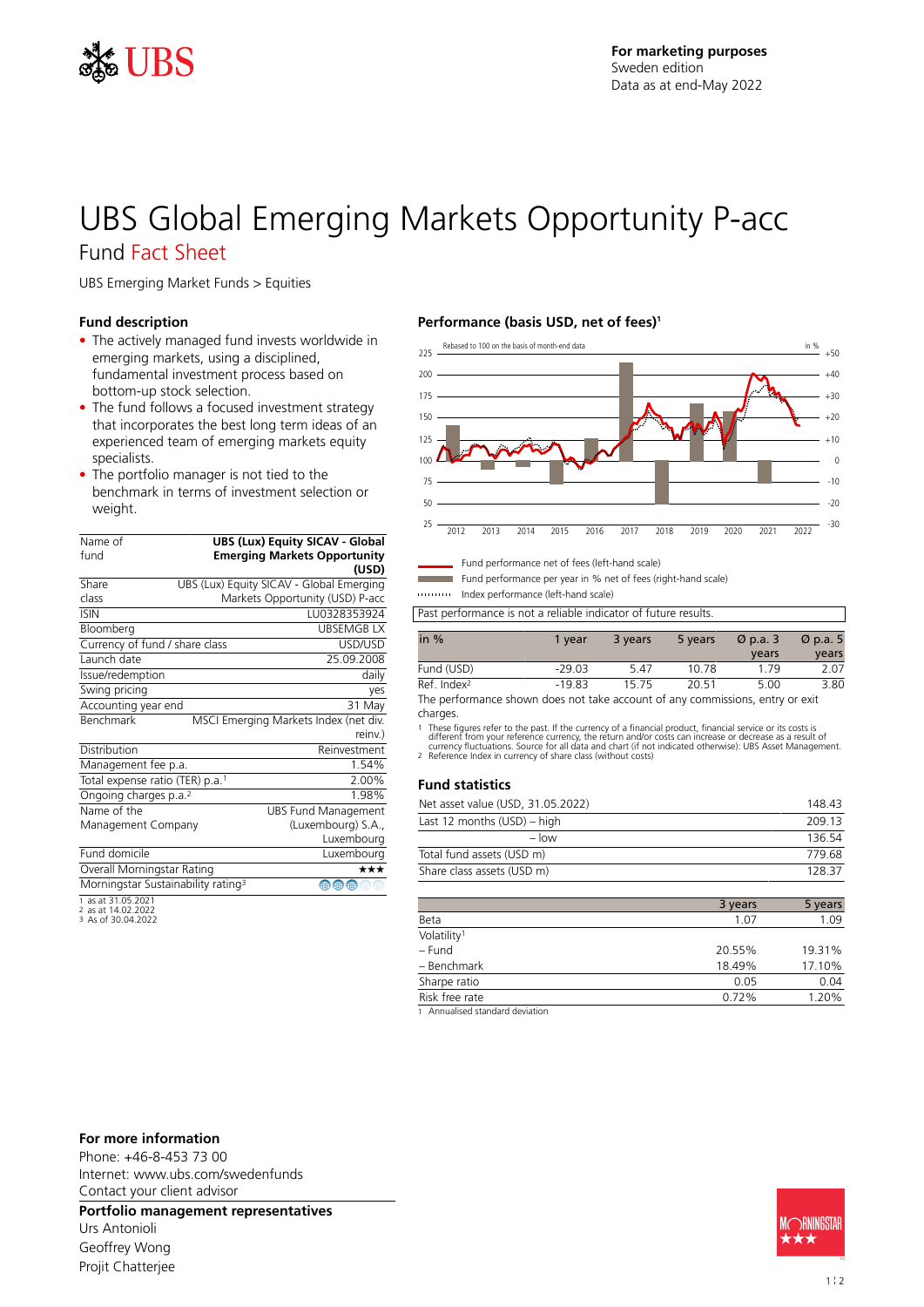

# UBS Global Emerging Markets Opportunity P-acc

## Fund Fact Sheet

UBS Emerging Market Funds > Equities

### **Fund description**

- The actively managed fund invests worldwide in emerging markets, using a disciplined, fundamental investment process based on bottom-up stock selection.
- The fund follows a focused investment strategy that incorporates the best long term ideas of an experienced team of emerging markets equity specialists.
- The portfolio manager is not tied to the benchmark in terms of investment selection or weight.

| Name of                                     |                                                | <b>UBS (Lux) Equity SICAV - Global</b>   |
|---------------------------------------------|------------------------------------------------|------------------------------------------|
| fund                                        |                                                | <b>Emerging Markets Opportunity</b>      |
|                                             |                                                | (USD)                                    |
| Share                                       |                                                | UBS (Lux) Equity SICAV - Global Emerging |
| class                                       |                                                | Markets Opportunity (USD) P-acc          |
| <b>ISIN</b>                                 |                                                | LU0328353924                             |
| Bloomberg                                   |                                                | <b>UBSEMGBLX</b>                         |
| Currency of fund / share class              |                                                | USD/USD                                  |
| Launch date                                 |                                                | 25.09.2008                               |
| Issue/redemption                            |                                                | daily                                    |
| Swing pricing                               |                                                | yes                                      |
| Accounting year end                         |                                                | 31 May                                   |
| <b>Benchmark</b>                            |                                                | MSCI Emerging Markets Index (net div.    |
|                                             |                                                | reinv.)                                  |
| Distribution                                |                                                | Reinvestment                             |
| Management fee p.a.                         |                                                | 1.54%                                    |
| Total expense ratio (TER) p.a. <sup>1</sup> |                                                | 2.00%                                    |
| Ongoing charges p.a. <sup>2</sup>           |                                                | 1.98%                                    |
| Name of the                                 |                                                | <b>UBS Fund Management</b>               |
| Management Company                          |                                                | (Luxembourg) S.A.,                       |
|                                             |                                                | Luxembourg                               |
| Fund domicile                               |                                                | Luxembourg                               |
| Overall Morningstar Rating                  |                                                | ***                                      |
|                                             | Morningstar Sustainability rating <sup>3</sup> | ⊕<br>儒<br>⊕                              |
| 1 ac at 31 05 2021                          |                                                |                                          |

1 as at 31.05.2021 2 as at 14.02.2022 3 As of 30.04.2022

### **Performance (basis USD, net of fees)<sup>1</sup>**



Fund performance net of fees (left-hand scale)

Fund performance per year in % net of fees (right-hand scale)

Index performance (left-hand scale)

Past performance is not a reliable indicator of future results.

| in $%$                  | 1 vear   | 3 years | 5 years | $\varnothing$ p.a. 3 | $\varnothing$ p.a. 5 |
|-------------------------|----------|---------|---------|----------------------|----------------------|
|                         |          |         |         | years                | years                |
| Fund (USD)              | $-29.03$ | 547     | 10.78   | 179                  | 2.07                 |
| Ref. Index <sup>2</sup> | $-19.83$ | 15.75   | 20.51   | 5.00                 | 3.80                 |

The performance shown does not take account of any commissions, entry or exit charges.

1 These figures refer to the past. If the currency of a financial product, financial service or its costs is<br>different from your reference currency, the return and/or costs can increase or decrease as a result of<br>currency

#### **Fund statistics**

| Net asset value (USD, 31.05.2022) | 148.43 |
|-----------------------------------|--------|
| Last 12 months (USD) – high       | 209.13 |
| $-$ low                           | 136.54 |
| Total fund assets (USD m)         | 779.68 |
| Share class assets (USD m)        | 128 37 |
|                                   |        |

|                         | 3 years | 5 years |
|-------------------------|---------|---------|
| Beta                    | 1.07    | 1.09    |
| Volatility <sup>1</sup> |         |         |
| – Fund                  | 20.55%  | 19.31%  |
| - Benchmark             | 18.49%  | 17.10%  |
| Sharpe ratio            | 0.05    | 0.04    |
| Risk free rate          | 0.72%   | 1.20%   |
|                         |         |         |

1 Annualised standard deviation

#### **For more information**

Phone: +46-8-453 73 00 Internet: www.ubs.com/swedenfunds Contact your client advisor

**Portfolio management representatives**

Urs Antonioli Geoffrey Wong Projit Chatterjee